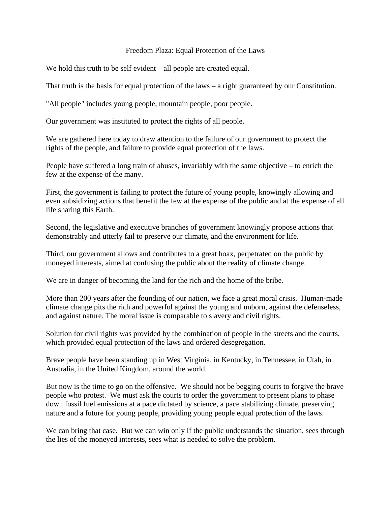## Freedom Plaza: Equal Protection of the Laws

We hold this truth to be self evident – all people are created equal.

That truth is the basis for equal protection of the laws  $-$  a right guaranteed by our Constitution.

"All people" includes young people, mountain people, poor people.

Our government was instituted to protect the rights of all people.

We are gathered here today to draw attention to the failure of our government to protect the rights of the people, and failure to provide equal protection of the laws.

People have suffered a long train of abuses, invariably with the same objective – to enrich the few at the expense of the many.

First, the government is failing to protect the future of young people, knowingly allowing and even subsidizing actions that benefit the few at the expense of the public and at the expense of all life sharing this Earth.

Second, the legislative and executive branches of government knowingly propose actions that demonstrably and utterly fail to preserve our climate, and the environment for life.

Third, our government allows and contributes to a great hoax, perpetrated on the public by moneyed interests, aimed at confusing the public about the reality of climate change.

We are in danger of becoming the land for the rich and the home of the bribe.

More than 200 years after the founding of our nation, we face a great moral crisis. Human-made climate change pits the rich and powerful against the young and unborn, against the defenseless, and against nature. The moral issue is comparable to slavery and civil rights.

Solution for civil rights was provided by the combination of people in the streets and the courts, which provided equal protection of the laws and ordered desegregation.

Brave people have been standing up in West Virginia, in Kentucky, in Tennessee, in Utah, in Australia, in the United Kingdom, around the world.

But now is the time to go on the offensive. We should not be begging courts to forgive the brave people who protest. We must ask the courts to order the government to present plans to phase down fossil fuel emissions at a pace dictated by science, a pace stabilizing climate, preserving nature and a future for young people, providing young people equal protection of the laws.

We can bring that case. But we can win only if the public understands the situation, sees through the lies of the moneyed interests, sees what is needed to solve the problem.